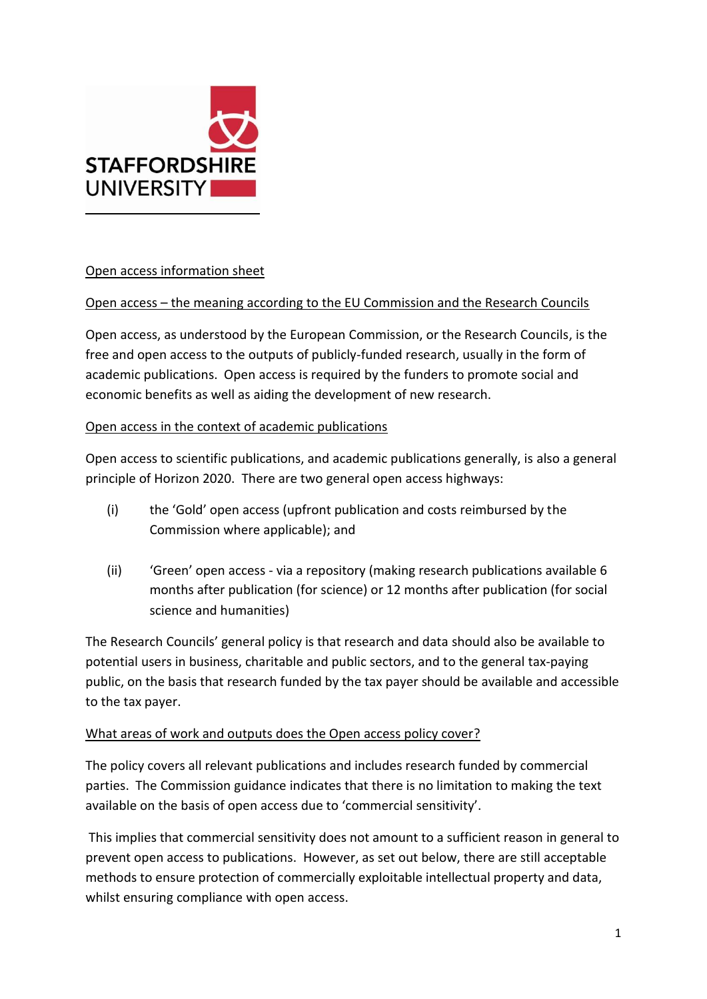

## Open access information sheet

### Open access – the meaning according to the EU Commission and the Research Councils

Open access, as understood by the European Commission, or the Research Councils, is the free and open access to the outputs of publicly-funded research, usually in the form of academic publications. Open access is required by the funders to promote social and economic benefits as well as aiding the development of new research.

### Open access in the context of academic publications

Open access to scientific publications, and academic publications generally, is also a general principle of Horizon 2020. There are two general open access highways:

- (i) the 'Gold' open access (upfront publication and costs reimbursed by the Commission where applicable); and
- (ii) 'Green' open access via a repository (making research publications available 6 months after publication (for science) or 12 months after publication (for social science and humanities)

The Research Councils' general policy is that research and data should also be available to potential users in business, charitable and public sectors, and to the general tax-paying public, on the basis that research funded by the tax payer should be available and accessible to the tax payer.

#### What areas of work and outputs does the Open access policy cover?

The policy covers all relevant publications and includes research funded by commercial parties. The Commission guidance indicates that there is no limitation to making the text available on the basis of open access due to 'commercial sensitivity'.

This implies that commercial sensitivity does not amount to a sufficient reason in general to prevent open access to publications. However, as set out below, there are still acceptable methods to ensure protection of commercially exploitable intellectual property and data, whilst ensuring compliance with open access.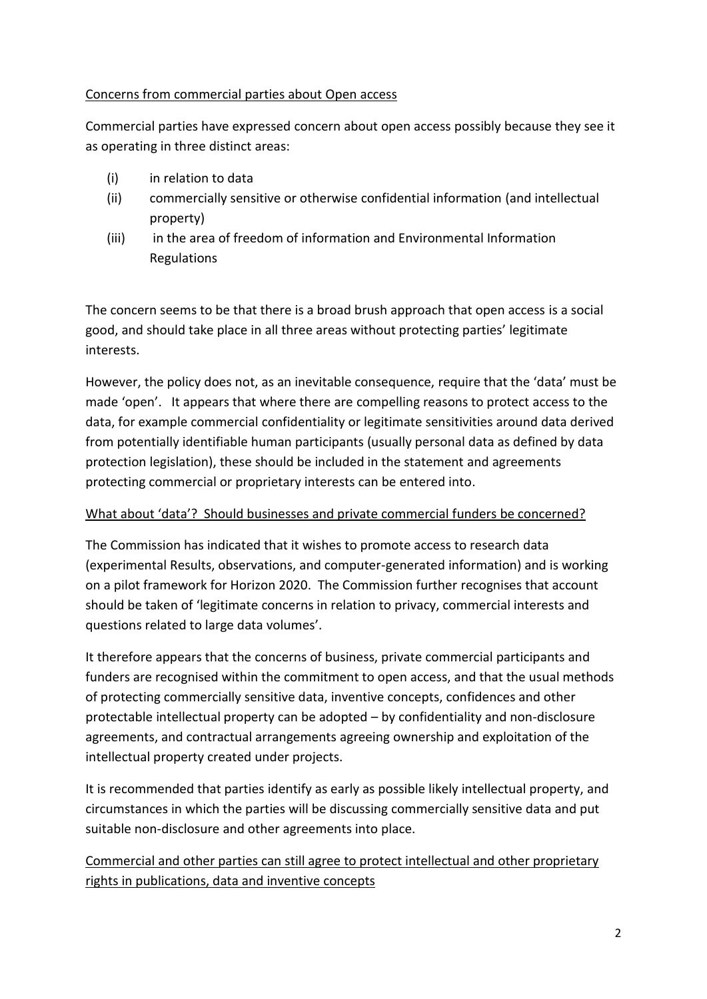## Concerns from commercial parties about Open access

Commercial parties have expressed concern about open access possibly because they see it as operating in three distinct areas:

- (i) in relation to data
- (ii) commercially sensitive or otherwise confidential information (and intellectual property)
- (iii) in the area of freedom of information and Environmental Information Regulations

The concern seems to be that there is a broad brush approach that open access is a social good, and should take place in all three areas without protecting parties' legitimate interests.

However, the policy does not, as an inevitable consequence, require that the 'data' must be made 'open'. It appears that where there are compelling reasons to protect access to the data, for example commercial confidentiality or legitimate sensitivities around data derived from potentially identifiable human participants (usually personal data as defined by data protection legislation), these should be included in the statement and agreements protecting commercial or proprietary interests can be entered into.

# What about 'data'? Should businesses and private commercial funders be concerned?

The Commission has indicated that it wishes to promote access to research data (experimental Results, observations, and computer-generated information) and is working on a pilot framework for Horizon 2020. The Commission further recognises that account should be taken of 'legitimate concerns in relation to privacy, commercial interests and questions related to large data volumes'.

It therefore appears that the concerns of business, private commercial participants and funders are recognised within the commitment to open access, and that the usual methods of protecting commercially sensitive data, inventive concepts, confidences and other protectable intellectual property can be adopted – by confidentiality and non-disclosure agreements, and contractual arrangements agreeing ownership and exploitation of the intellectual property created under projects.

It is recommended that parties identify as early as possible likely intellectual property, and circumstances in which the parties will be discussing commercially sensitive data and put suitable non-disclosure and other agreements into place.

Commercial and other parties can still agree to protect intellectual and other proprietary rights in publications, data and inventive concepts